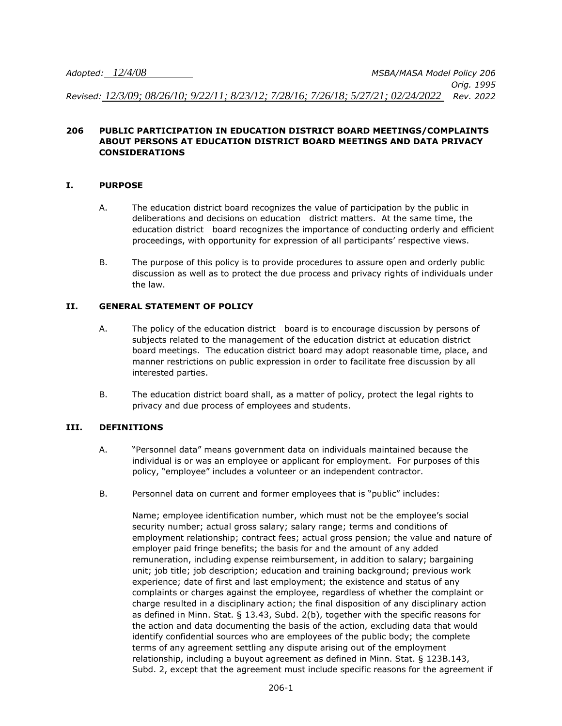*Adopted: 12/4/08 MSBA/MASA Model Policy 206 Orig. 1995 Revised: 12/3/09; 08/26/10; 9/22/11; 8/23/12; 7/28/16; 7/26/18; 5/27/21; 02/24/2022 Rev. 2022*

#### **206 PUBLIC PARTICIPATION IN EDUCATION DISTRICT BOARD MEETINGS/COMPLAINTS ABOUT PERSONS AT EDUCATION DISTRICT BOARD MEETINGS AND DATA PRIVACY CONSIDERATIONS**

#### **I. PURPOSE**

- A. The education district board recognizes the value of participation by the public in deliberations and decisions on education district matters. At the same time, the education district board recognizes the importance of conducting orderly and efficient proceedings, with opportunity for expression of all participants' respective views.
- B. The purpose of this policy is to provide procedures to assure open and orderly public discussion as well as to protect the due process and privacy rights of individuals under the law.

### **II. GENERAL STATEMENT OF POLICY**

- A. The policy of the education district board is to encourage discussion by persons of subjects related to the management of the education district at education district board meetings. The education district board may adopt reasonable time, place, and manner restrictions on public expression in order to facilitate free discussion by all interested parties.
- B. The education district board shall, as a matter of policy, protect the legal rights to privacy and due process of employees and students.

#### **III. DEFINITIONS**

- A. "Personnel data" means government data on individuals maintained because the individual is or was an employee or applicant for employment. For purposes of this policy, "employee" includes a volunteer or an independent contractor.
- B. Personnel data on current and former employees that is "public" includes:

Name; employee identification number, which must not be the employee's social security number; actual gross salary; salary range; terms and conditions of employment relationship; contract fees; actual gross pension; the value and nature of employer paid fringe benefits; the basis for and the amount of any added remuneration, including expense reimbursement, in addition to salary; bargaining unit; job title; job description; education and training background; previous work experience; date of first and last employment; the existence and status of any complaints or charges against the employee, regardless of whether the complaint or charge resulted in a disciplinary action; the final disposition of any disciplinary action as defined in Minn. Stat. § 13.43, Subd. 2(b), together with the specific reasons for the action and data documenting the basis of the action, excluding data that would identify confidential sources who are employees of the public body; the complete terms of any agreement settling any dispute arising out of the employment relationship, including a buyout agreement as defined in Minn. Stat. § 123B.143, Subd. 2, except that the agreement must include specific reasons for the agreement if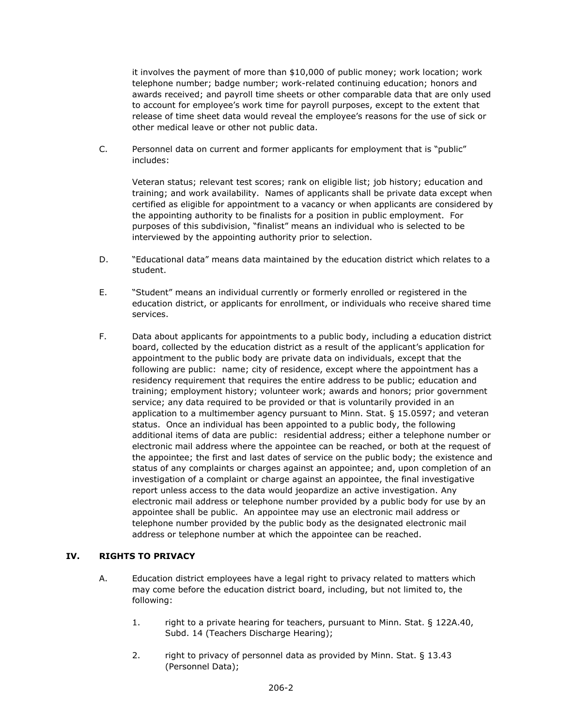it involves the payment of more than \$10,000 of public money; work location; work telephone number; badge number; work-related continuing education; honors and awards received; and payroll time sheets or other comparable data that are only used to account for employee's work time for payroll purposes, except to the extent that release of time sheet data would reveal the employee's reasons for the use of sick or other medical leave or other not public data.

C. Personnel data on current and former applicants for employment that is "public" includes:

Veteran status; relevant test scores; rank on eligible list; job history; education and training; and work availability. Names of applicants shall be private data except when certified as eligible for appointment to a vacancy or when applicants are considered by the appointing authority to be finalists for a position in public employment. For purposes of this subdivision, "finalist" means an individual who is selected to be interviewed by the appointing authority prior to selection.

- D. "Educational data" means data maintained by the education district which relates to a student.
- E. "Student" means an individual currently or formerly enrolled or registered in the education district, or applicants for enrollment, or individuals who receive shared time services.
- F. Data about applicants for appointments to a public body, including a education district board, collected by the education district as a result of the applicant's application for appointment to the public body are private data on individuals, except that the following are public: name; city of residence, except where the appointment has a residency requirement that requires the entire address to be public; education and training; employment history; volunteer work; awards and honors; prior government service; any data required to be provided or that is voluntarily provided in an application to a multimember agency pursuant to Minn. Stat. § 15.0597; and veteran status. Once an individual has been appointed to a public body, the following additional items of data are public: residential address; either a telephone number or electronic mail address where the appointee can be reached, or both at the request of the appointee; the first and last dates of service on the public body; the existence and status of any complaints or charges against an appointee; and, upon completion of an investigation of a complaint or charge against an appointee, the final investigative report unless access to the data would jeopardize an active investigation. Any electronic mail address or telephone number provided by a public body for use by an appointee shall be public. An appointee may use an electronic mail address or telephone number provided by the public body as the designated electronic mail address or telephone number at which the appointee can be reached.

# **IV. RIGHTS TO PRIVACY**

- A. Education district employees have a legal right to privacy related to matters which may come before the education district board, including, but not limited to, the following:
	- 1. right to a private hearing for teachers, pursuant to Minn. Stat. § 122A.40, Subd. 14 (Teachers Discharge Hearing);
	- 2. right to privacy of personnel data as provided by Minn. Stat. § 13.43 (Personnel Data);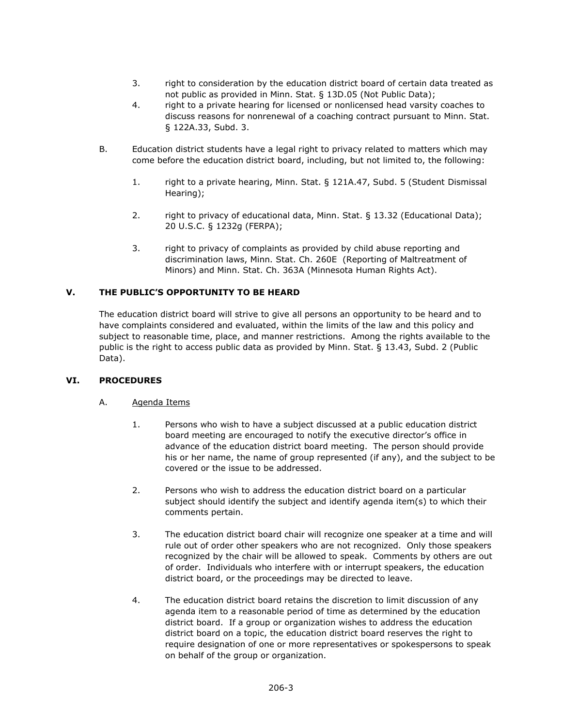- 3. right to consideration by the education district board of certain data treated as not public as provided in Minn. Stat. § 13D.05 (Not Public Data);
- 4. right to a private hearing for licensed or nonlicensed head varsity coaches to discuss reasons for nonrenewal of a coaching contract pursuant to Minn. Stat. § 122A.33, Subd. 3.
- B. Education district students have a legal right to privacy related to matters which may come before the education district board, including, but not limited to, the following:
	- 1. right to a private hearing, Minn. Stat. § 121A.47, Subd. 5 (Student Dismissal Hearing);
	- 2. right to privacy of educational data, Minn. Stat. § 13.32 (Educational Data); 20 U.S.C. § 1232g (FERPA);
	- 3. right to privacy of complaints as provided by child abuse reporting and discrimination laws, Minn. Stat. Ch. 260E (Reporting of Maltreatment of Minors) and Minn. Stat. Ch. 363A (Minnesota Human Rights Act).

# **V. THE PUBLIC'S OPPORTUNITY TO BE HEARD**

The education district board will strive to give all persons an opportunity to be heard and to have complaints considered and evaluated, within the limits of the law and this policy and subject to reasonable time, place, and manner restrictions. Among the rights available to the public is the right to access public data as provided by Minn. Stat. § 13.43, Subd. 2 (Public Data).

# **VI. PROCEDURES**

#### A. Agenda Items

- 1. Persons who wish to have a subject discussed at a public education district board meeting are encouraged to notify the executive director's office in advance of the education district board meeting. The person should provide his or her name, the name of group represented (if any), and the subject to be covered or the issue to be addressed.
- 2. Persons who wish to address the education district board on a particular subject should identify the subject and identify agenda item(s) to which their comments pertain.
- 3. The education district board chair will recognize one speaker at a time and will rule out of order other speakers who are not recognized. Only those speakers recognized by the chair will be allowed to speak. Comments by others are out of order. Individuals who interfere with or interrupt speakers, the education district board, or the proceedings may be directed to leave.
- 4. The education district board retains the discretion to limit discussion of any agenda item to a reasonable period of time as determined by the education district board. If a group or organization wishes to address the education district board on a topic, the education district board reserves the right to require designation of one or more representatives or spokespersons to speak on behalf of the group or organization.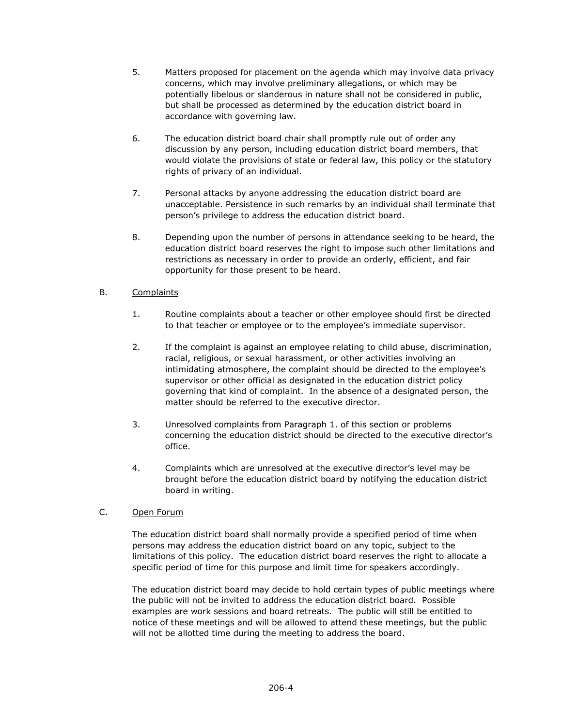- 5. Matters proposed for placement on the agenda which may involve data privacy concerns, which may involve preliminary allegations, or which may be potentially libelous or slanderous in nature shall not be considered in public, but shall be processed as determined by the education district board in accordance with governing law.
- 6. The education district board chair shall promptly rule out of order any discussion by any person, including education district board members, that would violate the provisions of state or federal law, this policy or the statutory rights of privacy of an individual.
- 7. Personal attacks by anyone addressing the education district board are unacceptable. Persistence in such remarks by an individual shall terminate that person's privilege to address the education district board.
- 8. Depending upon the number of persons in attendance seeking to be heard, the education district board reserves the right to impose such other limitations and restrictions as necessary in order to provide an orderly, efficient, and fair opportunity for those present to be heard.

# B. Complaints

- 1. Routine complaints about a teacher or other employee should first be directed to that teacher or employee or to the employee's immediate supervisor.
- 2. If the complaint is against an employee relating to child abuse, discrimination, racial, religious, or sexual harassment, or other activities involving an intimidating atmosphere, the complaint should be directed to the employee's supervisor or other official as designated in the education district policy governing that kind of complaint. In the absence of a designated person, the matter should be referred to the executive director.
- 3. Unresolved complaints from Paragraph 1. of this section or problems concerning the education district should be directed to the executive director's office.
- 4. Complaints which are unresolved at the executive director's level may be brought before the education district board by notifying the education district board in writing.

# C. Open Forum

The education district board shall normally provide a specified period of time when persons may address the education district board on any topic, subject to the limitations of this policy. The education district board reserves the right to allocate a specific period of time for this purpose and limit time for speakers accordingly.

The education district board may decide to hold certain types of public meetings where the public will not be invited to address the education district board. Possible examples are work sessions and board retreats. The public will still be entitled to notice of these meetings and will be allowed to attend these meetings, but the public will not be allotted time during the meeting to address the board.